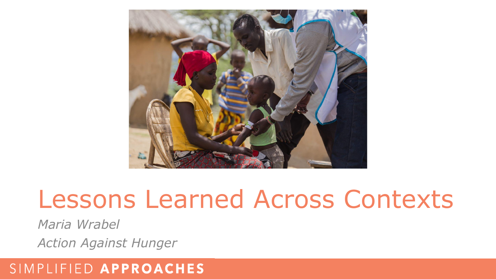

# Lessons Learned Across Contexts

*Maria Wrabel*

*Action Against Hunger*

## SIMPLIFIED APPROACHES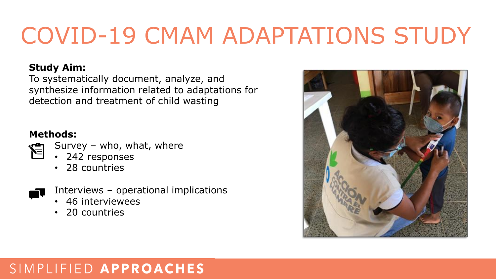# COVID-19 CMAM ADAPTATIONS STUDY

#### **Study Aim:**

To systematically document, analyze, and synthesize information related to adaptations for detection and treatment of child wasting

### **Methods:**

- Survey who, what, where
	- 242 responses
	- 28 countries



- Interviews operational implications
- 46 interviewees
- 20 countries



# SIMPLIFIED APPROACHES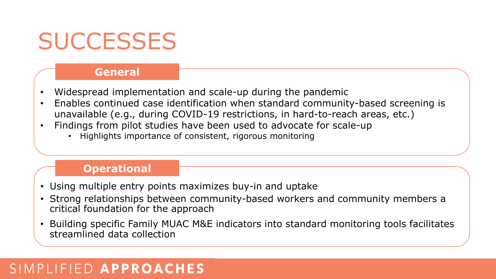# **SUCCESSES**

#### **General**

- Widespread implementation and scale-up during the pandemic
- Enables continued case identification when standard community-based screening is unavailable (e.g., during COVID-19 restrictions, in hard-to-reach areas, etc.)
- Findings from pilot studies have been used to advocate for scale-up
	- Highlights importance of consistent, rigorous monitoring

#### **Operational**

- Using multiple entry points maximizes buy-in and uptake
- Strong relationships between community-based workers and community members a critical foundation for the approach
- Building specific Family MUAC M&E indicators into standard monitoring tools facilitates streamlined data collection

## SIMPLIFIED APPROACHES